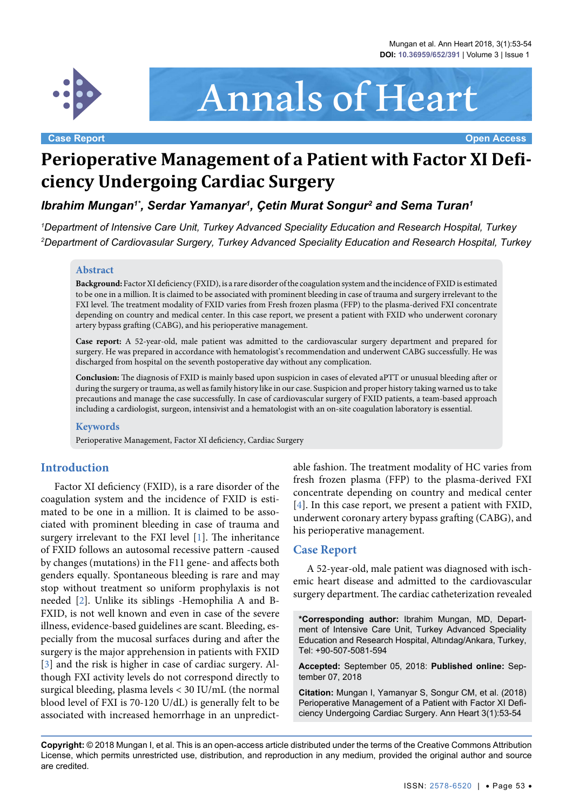

# Annals of Heart

**Case Report Open Access**

# **Perioperative Management of a Patient with Factor XI Deficiency Undergoing Cardiac Surgery**

*Ibrahim Mungan1\*, Serdar Yamanyar1 , Çetin Murat Songur2 and Sema Turan1*

*1 Department of Intensive Care Unit, Turkey Advanced Speciality Education and Research Hospital, Turkey 2 Department of Cardiovasular Surgery, Turkey Advanced Speciality Education and Research Hospital, Turkey*

#### **Abstract**

**Background:** Factor XI deficiency (FXID), is a rare disorder of the coagulation system and the incidence of FXID is estimated to be one in a million. It is claimed to be associated with prominent bleeding in case of trauma and surgery irrelevant to the FXI level. The treatment modality of FXID varies from Fresh frozen plasma (FFP) to the plasma-derived FXI concentrate depending on country and medical center. In this case report, we present a patient with FXID who underwent coronary artery bypass grafting (CABG), and his perioperative management.

**Case report:** A 52-year-old, male patient was admitted to the cardiovascular surgery department and prepared for surgery. He was prepared in accordance with hematologist's recommendation and underwent CABG successfully. He was discharged from hospital on the seventh postoperative day without any complication.

**Conclusion:** The diagnosis of FXID is mainly based upon suspicion in cases of elevated aPTT or unusual bleeding after or during the surgery or trauma, as well as family history like in our case. Suspicion and proper history taking warned us to take precautions and manage the case successfully. In case of cardiovascular surgery of FXID patients, a team-based approach including a cardiologist, surgeon, intensivist and a hematologist with an on-site coagulation laboratory is essential.

#### **Keywords**

Perioperative Management, Factor XI deficiency, Cardiac Surgery

#### **Introduction**

Factor XI deficiency (FXID), is a rare disorder of the coagulation system and the incidence of FXID is estimated to be one in a million. It is claimed to be associated with prominent bleeding in case of trauma and surgery irrelevant to the FXI level [\[1\]](#page-1-0). The inheritance of FXID follows an autosomal recessive pattern -caused by changes (mutations) in the F11 gene- and affects both genders equally. Spontaneous bleeding is rare and may stop without treatment so uniform prophylaxis is not needed [\[2\]](#page-1-1). Unlike its siblings -Hemophilia A and B-FXID, is not well known and even in case of the severe illness, evidence-based guidelines are scant. Bleeding, especially from the mucosal surfaces during and after the surgery is the major apprehension in patients with FXID [\[3](#page-1-2)] and the risk is higher in case of cardiac surgery. Although FXI activity levels do not correspond directly to surgical bleeding, plasma levels < 30 IU/mL (the normal blood level of FXI is 70-120 U/dL) is generally felt to be associated with increased hemorrhage in an unpredict-

able fashion. The treatment modality of HC varies from fresh frozen plasma (FFP) to the plasma-derived FXI concentrate depending on country and medical center [[4\]](#page-1-3). In this case report, we present a patient with FXID, underwent coronary artery bypass grafting (CABG), and his perioperative management.

#### **Case Report**

A 52-year-old, male patient was diagnosed with ischemic heart disease and admitted to the cardiovascular surgery department. The cardiac catheterization revealed

**\*Corresponding author:** Ibrahim Mungan, MD, Department of Intensive Care Unit, Turkey Advanced Speciality Education and Research Hospital, Altındag/Ankara, Turkey, Tel: +90-507-5081-594

**Accepted:** September 05, 2018: **Published online:** September 07, 2018

**Citation:** Mungan I, Yamanyar S, Songur CM, et al. (2018) Perioperative Management of a Patient with Factor XI Deficiency Undergoing Cardiac Surgery. Ann Heart 3(1):53-54

**Copyright:** © 2018 Mungan I, et al. This is an open-access article distributed under the terms of the Creative Commons Attribution License, which permits unrestricted use, distribution, and reproduction in any medium, provided the original author and source are credited.